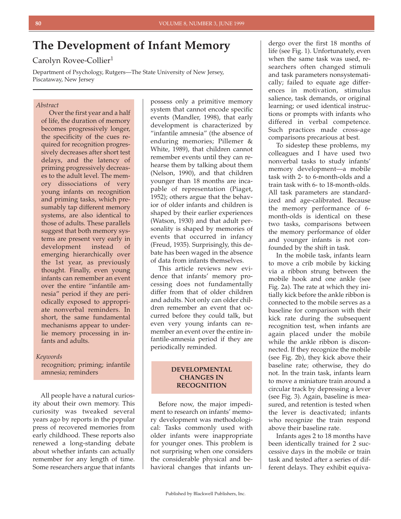# **The Development of Infant Memory**

# Carolyn Rovee-Collier<sup>1</sup>

Department of Psychology, Rutgers—The State University of New Jersey, Piscataway, New Jersey

## *Abstract*

Over the first year and a half of life, the duration of memory becomes progressively longer, the specificity of the cues required for recognition progressively decreases after short test delays, and the latency of priming progressively decreases to the adult level. The memory dissociations of very young infants on recognition and priming tasks, which presumably tap different memory systems, are also identical to those of adults. These parallels suggest that both memory systems are present very early in development instead of emerging hierarchically over the 1st year, as previously thought. Finally, even young infants can remember an event over the entire "infantile amnesia" period if they are periodically exposed to appropriate nonverbal reminders. In short, the same fundamental mechanisms appear to underlie memory processing in infants and adults.

#### *Keywords*

recognition; priming; infantile amnesia; reminders

All people have a natural curiosity about their own memory. This curiosity was tweaked several years ago by reports in the popular press of recovered memories from early childhood. These reports also renewed a long-standing debate about whether infants can actually remember for any length of time. Some researchers argue that infants

possess only a primitive memory system that cannot encode specific events (Mandler, 1998), that early development is characterized by "infantile amnesia" (the absence of enduring memories; Pillemer & White, 1989), that children cannot remember events until they can rehearse them by talking about them (Nelson, 1990), and that children younger than 18 months are incapable of representation (Piaget, 1952); others argue that the behavior of older infants and children is shaped by their earlier experiences (Watson, 1930) and that adult personality is shaped by memories of events that occurred in infancy (Freud, 1935). Surprisingly, this debate has been waged in the absence of data from infants themselves.

This article reviews new evidence that infants' memory processing does not fundamentally differ from that of older children and adults. Not only can older children remember an event that occurred before they could talk, but even very young infants can remember an event over the entire infantile-amnesia period if they are periodically reminded.

#### **DEVELOPMENTAL CHANGES IN RECOGNITION**

Before now, the major impediment to research on infants' memory development was methodological: Tasks commonly used with older infants were inappropriate for younger ones. This problem is not surprising when one considers the considerable physical and behavioral changes that infants un-

dergo over the first 18 months of life (see Fig. 1). Unfortunately, even when the same task was used, researchers often changed stimuli and task parameters nonsystematically; failed to equate age differences in motivation, stimulus salience, task demands, or original learning; or used identical instructions or prompts with infants who differed in verbal competence. Such practices made cross-age comparisons precarious at best.

To sidestep these problems, my colleagues and I have used two nonverbal tasks to study infants' memory development—a mobile task with 2- to 6-month-olds and a train task with 6- to 18-month-olds. All task parameters are standardized and age-calibrated. Because the memory performance of 6 month-olds is identical on these two tasks, comparisons between the memory performance of older and younger infants is not confounded by the shift in task.

In the mobile task, infants learn to move a crib mobile by kicking via a ribbon strung between the mobile hook and one ankle (see Fig. 2a). The rate at which they initially kick before the ankle ribbon is connected to the mobile serves as a baseline for comparison with their kick rate during the subsequent recognition test, when infants are again placed under the mobile while the ankle ribbon is disconnected. If they recognize the mobile (see Fig. 2b), they kick above their baseline rate; otherwise, they do not. In the train task, infants learn to move a miniature train around a circular track by depressing a lever (see Fig. 3). Again, baseline is measured, and retention is tested when the lever is deactivated; infants who recognize the train respond above their baseline rate.

Infants ages 2 to 18 months have been identically trained for 2 successive days in the mobile or train task and tested after a series of different delays. They exhibit equiva-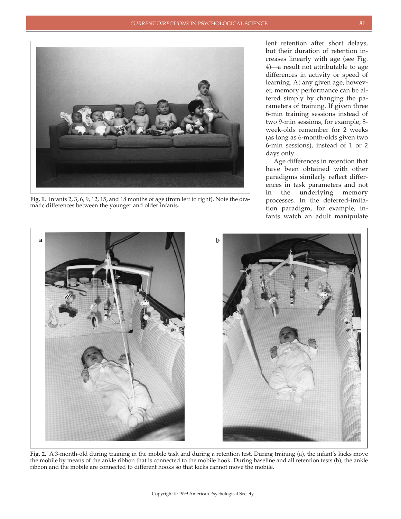

**Fig. 1.** Infants 2, 3, 6, 9, 12, 15, and 18 months of age (from left to right). Note the dramatic differences between the younger and older infants.

lent retention after short delays, but their duration of retention increases linearly with age (see Fig. 4)—a result not attributable to age differences in activity or speed of learning. At any given age, however, memory performance can be altered simply by changing the parameters of training. If given three 6-min training sessions instead of two 9-min sessions, for example, 8 week-olds remember for 2 weeks (as long as 6-month-olds given two 6-min sessions), instead of 1 or 2 days only.

Age differences in retention that have been obtained with other paradigms similarly reflect differences in task parameters and not in the underlying memory processes. In the deferred-imitation paradigm, for example, infants watch an adult manipulate



**Fig. 2.** A 3-month-old during training in the mobile task and during a retention test. During training (a), the infant's kicks move the mobile by means of the ankle ribbon that is connected to the mobile hook. During baseline and all retention tests (b), the ankle ribbon and the mobile are connected to different hooks so that kicks cannot move the mobile.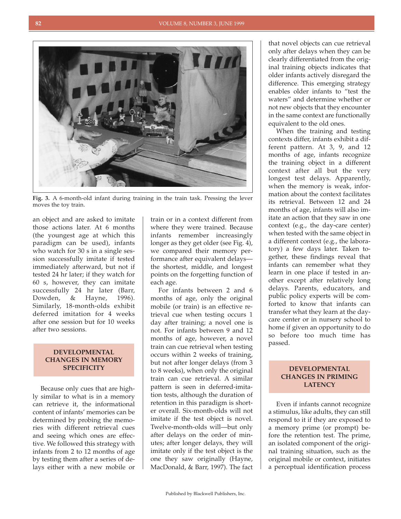

**Fig. 3.** A 6-month-old infant during training in the train task. Pressing the lever moves the toy train.

an object and are asked to imitate those actions later. At 6 months (the youngest age at which this paradigm can be used), infants who watch for 30 s in a single session successfully imitate if tested immediately afterward, but not if tested 24 hr later; if they watch for 60 s, however, they can imitate successfully 24 hr later (Barr, Dowden, & Hayne, 1996). Similarly, 18-month-olds exhibit deferred imitation for 4 weeks after one session but for 10 weeks after two sessions.

#### **DEVELOPMENTAL CHANGES IN MEMORY SPECIFICITY**

Because only cues that are highly similar to what is in a memory can retrieve it, the informational content of infants' memories can be determined by probing the memories with different retrieval cues and seeing which ones are effective. We followed this strategy with infants from 2 to 12 months of age by testing them after a series of delays either with a new mobile or

train or in a context different from where they were trained. Because infants remember increasingly longer as they get older (see Fig. 4), we compared their memory performance after equivalent delays the shortest, middle, and longest points on the forgetting function of each age.

For infants between 2 and 6 months of age, only the original mobile (or train) is an effective retrieval cue when testing occurs 1 day after training; a novel one is not. For infants between 9 and 12 months of age, however, a novel train can cue retrieval when testing occurs within 2 weeks of training, but not after longer delays (from 3 to 8 weeks), when only the original train can cue retrieval. A similar pattern is seen in deferred-imitation tests, although the duration of retention in this paradigm is shorter overall. Six-month-olds will not imitate if the test object is novel. Twelve-month-olds will—but only after delays on the order of minutes; after longer delays, they will imitate only if the test object is the one they saw originally (Hayne, MacDonald, & Barr, 1997). The fact

that novel objects can cue retrieval only after delays when they can be clearly differentiated from the original training objects indicates that older infants actively disregard the difference. This emerging strategy enables older infants to "test the waters" and determine whether or not new objects that they encounter in the same context are functionally equivalent to the old ones.

When the training and testing contexts differ, infants exhibit a different pattern. At 3, 9, and 12 months of age, infants recognize the training object in a different context after all but the very longest test delays. Apparently, when the memory is weak, information about the context facilitates its retrieval. Between 12 and 24 months of age, infants will also imitate an action that they saw in one context (e.g., the day-care center) when tested with the same object in a different context (e.g., the laboratory) a few days later. Taken together, these findings reveal that infants can remember what they learn in one place if tested in another except after relatively long delays. Parents, educators, and public policy experts will be comforted to know that infants can transfer what they learn at the daycare center or in nursery school to home if given an opportunity to do so before too much time has passed.

### **DEVELOPMENTAL CHANGES IN PRIMING LATENCY**

Even if infants cannot recognize a stimulus, like adults, they can still respond to it if they are exposed to a memory prime (or prompt) before the retention test. The prime, an isolated component of the original training situation, such as the original mobile or context, initiates a perceptual identification process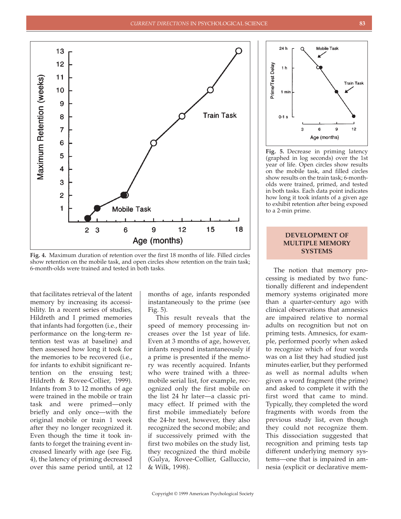

**Fig. 4.** Maximum duration of retention over the first 18 months of life. Filled circles show retention on the mobile task, and open circles show retention on the train task; 6-month-olds were trained and tested in both tasks.

that facilitates retrieval of the latent memory by increasing its accessibility. In a recent series of studies, Hildreth and I primed memories that infants had forgotten (i.e., their performance on the long-term retention test was at baseline) and then assessed how long it took for the memories to be recovered (i.e., for infants to exhibit significant retention on the ensuing test; Hildreth & Rovee-Collier, 1999). Infants from 3 to 12 months of age were trained in the mobile or train task and were primed—only briefly and only once—with the original mobile or train 1 week after they no longer recognized it. Even though the time it took infants to forget the training event increased linearly with age (see Fig. 4), the latency of priming decreased over this same period until, at 12 months of age, infants responded instantaneously to the prime (see Fig. 5).

This result reveals that the speed of memory processing increases over the 1st year of life. Even at 3 months of age, however, infants respond instantaneously if a prime is presented if the memory was recently acquired. Infants who were trained with a threemobile serial list, for example, recognized only the first mobile on the list 24 hr later—a classic primacy effect. If primed with the first mobile immediately before the 24-hr test, however, they also recognized the second mobile; and if successively primed with the first two mobiles on the study list, they recognized the third mobile (Gulya, Rovee-Collier, Galluccio, & Wilk, 1998).



**Fig. 5.** Decrease in priming latency (graphed in log seconds) over the 1st year of life. Open circles show results on the mobile task, and filled circles show results on the train task; 6-montholds were trained, primed, and tested in both tasks. Each data point indicates how long it took infants of a given age to exhibit retention after being exposed to a 2-min prime.

### **DEVELOPMENT OF MULTIPLE MEMORY SYSTEMS**

The notion that memory processing is mediated by two functionally different and independent memory systems originated more than a quarter-century ago with clinical observations that amnesics are impaired relative to normal adults on recognition but not on priming tests. Amnesics, for example, performed poorly when asked to recognize which of four words was on a list they had studied just minutes earlier, but they performed as well as normal adults when given a word fragment (the prime) and asked to complete it with the first word that came to mind. Typically, they completed the word fragments with words from the previous study list, even though they could not recognize them. This dissociation suggested that recognition and priming tests tap different underlying memory systems—one that is impaired in amnesia (explicit or declarative mem-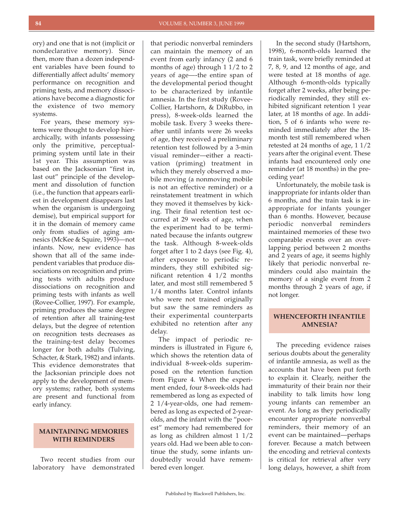ory) and one that is not (implicit or nondeclarative memory). Since then, more than a dozen independent variables have been found to differentially affect adults' memory performance on recognition and priming tests, and memory dissociations have become a diagnostic for the existence of two memory systems.

For years, these memory systems were thought to develop hierarchically, with infants possessing only the primitive, perceptualpriming system until late in their 1st year. This assumption was based on the Jacksonian "first in, last out" principle of the development and dissolution of function (i.e., the function that appears earliest in development disappears last when the organism is undergoing demise), but empirical support for it in the domain of memory came only from studies of aging amnesics (McKee & Squire, 1993)—not infants. Now, new evidence has shown that all of the same independent variables that produce dissociations on recognition and priming tests with adults produce dissociations on recognition and priming tests with infants as well (Rovee-Collier, 1997). For example, priming produces the same degree of retention after all training-test delays, but the degree of retention on recognition tests decreases as the training-test delay becomes longer for both adults (Tulving, Schacter, & Stark, 1982) and infants. This evidence demonstrates that the Jacksonian principle does not apply to the development of memory systems; rather, both systems are present and functional from early infancy.

#### **MAINTAINING MEMORIES WITH REMINDERS**

Two recent studies from our laboratory have demonstrated

that periodic nonverbal reminders can maintain the memory of an event from early infancy (2 and 6 months of age) through 1 1/2 to 2 years of age—-the entire span of the developmental period thought to be characterized by infantile amnesia. In the first study (Rovee-Collier, Hartshorn, & DiRubbo, in press), 8-week-olds learned the mobile task. Every 3 weeks thereafter until infants were 26 weeks of age, they received a preliminary retention test followed by a 3-min visual reminder—either a reactivation (priming) treatment in which they merely observed a mobile moving (a nonmoving mobile is not an effective reminder) or a reinstatement treatment in which they moved it themselves by kicking. Their final retention test occurred at 29 weeks of age, when the experiment had to be terminated because the infants outgrew the task. Although 8-week-olds forget after 1 to 2 days (see Fig. 4), after exposure to periodic reminders, they still exhibited significant retention 4 1/2 months later, and most still remembered 5 1/4 months later. Control infants who were not trained originally but saw the same reminders as their experimental counterparts exhibited no retention after any delay.

The impact of periodic reminders is illustrated in Figure 6, which shows the retention data of individual 8-week-olds superimposed on the retention function from Figure 4. When the experiment ended, four 8-week-olds had remembered as long as expected of 2 1/4-year-olds, one had remembered as long as expected of 2-yearolds, and the infant with the "poorest" memory had remembered for as long as children almost 1 1/2 years old. Had we been able to continue the study, some infants undoubtedly would have remembered even longer.

In the second study (Hartshorn, 1998), 6-month-olds learned the train task, were briefly reminded at 7, 8, 9, and 12 months of age, and were tested at 18 months of age. Although 6-month-olds typically forget after 2 weeks, after being periodically reminded, they still exhibited significant retention 1 year later, at 18 months of age. In addition, 5 of 6 infants who were reminded immediately after the 18 month test still remembered when retested at 24 months of age, 1 1/2 years after the original event. These infants had encountered only one reminder (at 18 months) in the preceding year!

Unfortunately, the mobile task is inappropriate for infants older than 6 months, and the train task is inappropriate for infants younger than 6 months. However, because periodic nonverbal reminders maintained memories of these two comparable events over an overlapping period between 2 months and 2 years of age, it seems highly likely that periodic nonverbal reminders could also maintain the memory of a single event from 2 months through 2 years of age, if not longer.

# **WHENCEFORTH INFANTILE AMNESIA?**

The preceding evidence raises serious doubts about the generality of infantile amnesia, as well as the accounts that have been put forth to explain it. Clearly, neither the immaturity of their brain nor their inability to talk limits how long young infants can remember an event. As long as they periodically encounter appropriate nonverbal reminders, their memory of an event can be maintained—perhaps forever. Because a match between the encoding and retrieval contexts is critical for retrieval after very long delays, however, a shift from